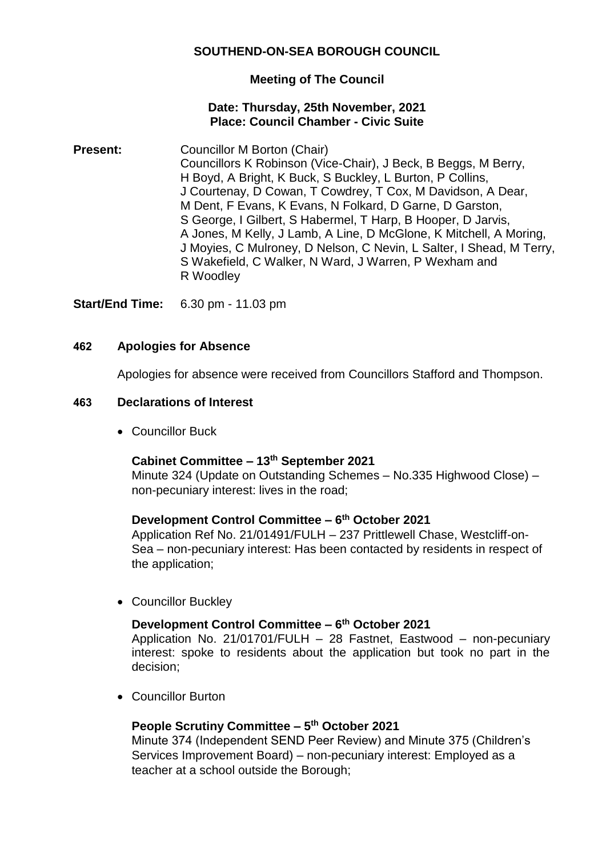# **SOUTHEND-ON-SEA BOROUGH COUNCIL**

# **Meeting of The Council**

## **Date: Thursday, 25th November, 2021 Place: Council Chamber - Civic Suite**

**Present:** Councillor M Borton (Chair) Councillors K Robinson (Vice-Chair), J Beck, B Beggs, M Berry, H Boyd, A Bright, K Buck, S Buckley, L Burton, P Collins, J Courtenay, D Cowan, T Cowdrey, T Cox, M Davidson, A Dear, M Dent, F Evans, K Evans, N Folkard, D Garne, D Garston, S George, I Gilbert, S Habermel, T Harp, B Hooper, D Jarvis, A Jones, M Kelly, J Lamb, A Line, D McGlone, K Mitchell, A Moring, J Moyies, C Mulroney, D Nelson, C Nevin, L Salter, I Shead, M Terry, S Wakefield, C Walker, N Ward, J Warren, P Wexham and R Woodley

**Start/End Time:** 6.30 pm - 11.03 pm

## **462 Apologies for Absence**

Apologies for absence were received from Councillors Stafford and Thompson.

#### **463 Declarations of Interest**

Councillor Buck

# **Cabinet Committee – 13th September 2021**

Minute 324 (Update on Outstanding Schemes – No.335 Highwood Close) – non-pecuniary interest: lives in the road;

# **Development Control Committee – 6 th October 2021**

Application Ref No. 21/01491/FULH – 237 Prittlewell Chase, Westcliff-on-Sea – non-pecuniary interest: Has been contacted by residents in respect of the application;

• Councillor Buckley

#### **Development Control Committee – 6 th October 2021**

Application No. 21/01701/FULH – 28 Fastnet, Eastwood – non-pecuniary interest: spoke to residents about the application but took no part in the decision;

Councillor Burton

# **People Scrutiny Committee – 5 th October 2021**

Minute 374 (Independent SEND Peer Review) and Minute 375 (Children's Services Improvement Board) – non-pecuniary interest: Employed as a teacher at a school outside the Borough;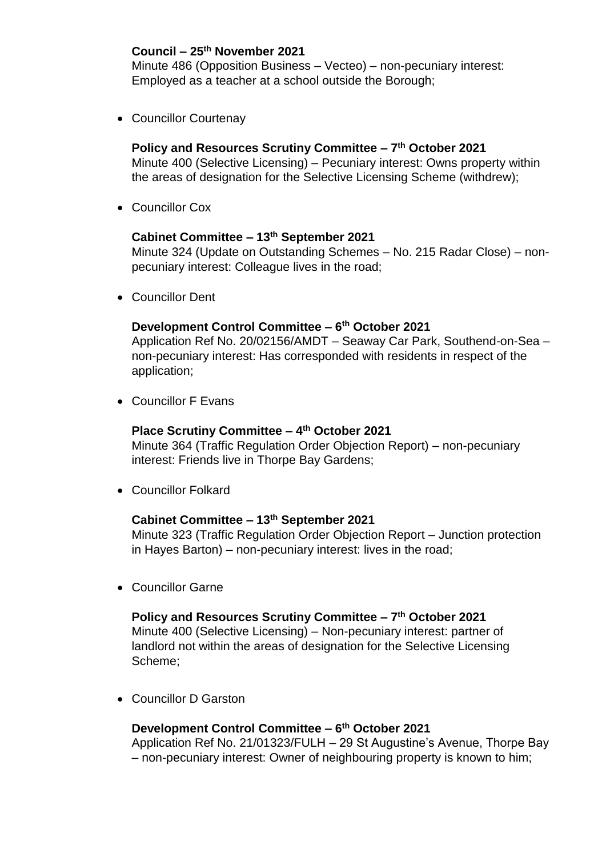# **Council – 25th November 2021**

Minute 486 (Opposition Business – Vecteo) – non-pecuniary interest: Employed as a teacher at a school outside the Borough;

Councillor Courtenay

# **Policy and Resources Scrutiny Committee – 7 th October 2021**

Minute 400 (Selective Licensing) – Pecuniary interest: Owns property within the areas of designation for the Selective Licensing Scheme (withdrew);

Councillor Cox

# **Cabinet Committee – 13th September 2021**

Minute 324 (Update on Outstanding Schemes – No. 215 Radar Close) – nonpecuniary interest: Colleague lives in the road;

Councillor Dent

# **Development Control Committee – 6 th October 2021**

Application Ref No. 20/02156/AMDT – Seaway Car Park, Southend-on-Sea – non-pecuniary interest: Has corresponded with residents in respect of the application;

Councillor F Evans

# **Place Scrutiny Committee – 4 th October 2021**

Minute 364 (Traffic Regulation Order Objection Report) – non-pecuniary interest: Friends live in Thorpe Bay Gardens;

Councillor Folkard

# **Cabinet Committee – 13th September 2021**

Minute 323 (Traffic Regulation Order Objection Report – Junction protection in Hayes Barton) – non-pecuniary interest: lives in the road;

Councillor Garne

# **Policy and Resources Scrutiny Committee – 7 th October 2021**

Minute 400 (Selective Licensing) – Non-pecuniary interest: partner of landlord not within the areas of designation for the Selective Licensing Scheme;

Councillor D Garston

**Development Control Committee – 6 th October 2021** Application Ref No. 21/01323/FULH – 29 St Augustine's Avenue, Thorpe Bay – non-pecuniary interest: Owner of neighbouring property is known to him;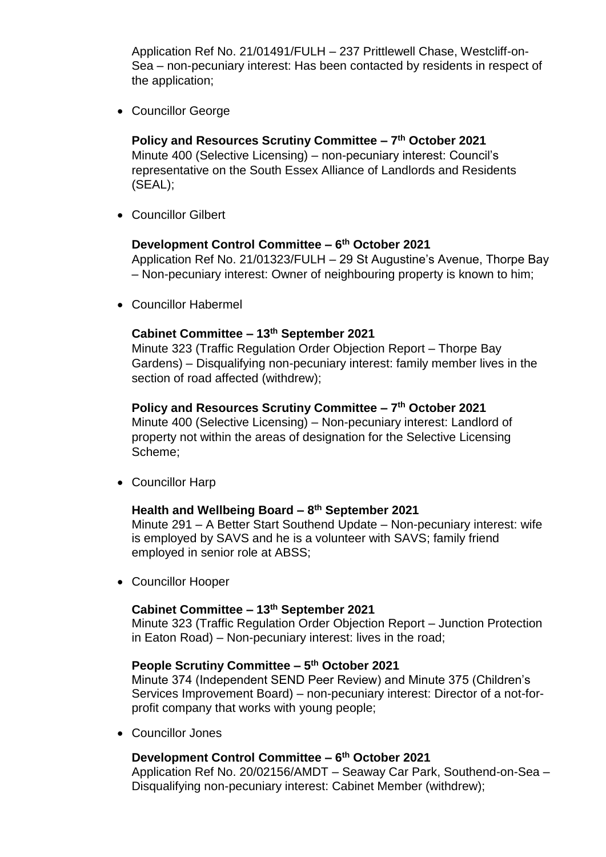Application Ref No. 21/01491/FULH – 237 Prittlewell Chase, Westcliff-on-Sea – non-pecuniary interest: Has been contacted by residents in respect of the application;

Councillor George

**Policy and Resources Scrutiny Committee – 7 th October 2021** Minute 400 (Selective Licensing) – non-pecuniary interest: Council's representative on the South Essex Alliance of Landlords and Residents (SEAL);

Councillor Gilbert

## **Development Control Committee – 6 th October 2021**

Application Ref No. 21/01323/FULH – 29 St Augustine's Avenue, Thorpe Bay – Non-pecuniary interest: Owner of neighbouring property is known to him;

Councillor Habermel

## **Cabinet Committee – 13th September 2021**

Minute 323 (Traffic Regulation Order Objection Report – Thorpe Bay Gardens) – Disqualifying non-pecuniary interest: family member lives in the section of road affected (withdrew);

# **Policy and Resources Scrutiny Committee – 7 th October 2021**

Minute 400 (Selective Licensing) – Non-pecuniary interest: Landlord of property not within the areas of designation for the Selective Licensing Scheme;

Councillor Harp

# **Health and Wellbeing Board – 8 th September 2021**

Minute 291 – A Better Start Southend Update – Non-pecuniary interest: wife is employed by SAVS and he is a volunteer with SAVS; family friend employed in senior role at ABSS;

Councillor Hooper

# **Cabinet Committee – 13th September 2021**

Minute 323 (Traffic Regulation Order Objection Report – Junction Protection in Eaton Road) – Non-pecuniary interest: lives in the road;

#### **People Scrutiny Committee – 5 th October 2021**

Minute 374 (Independent SEND Peer Review) and Minute 375 (Children's Services Improvement Board) – non-pecuniary interest: Director of a not-forprofit company that works with young people;

Councillor Jones

# **Development Control Committee – 6 th October 2021**

Application Ref No. 20/02156/AMDT – Seaway Car Park, Southend-on-Sea – Disqualifying non-pecuniary interest: Cabinet Member (withdrew);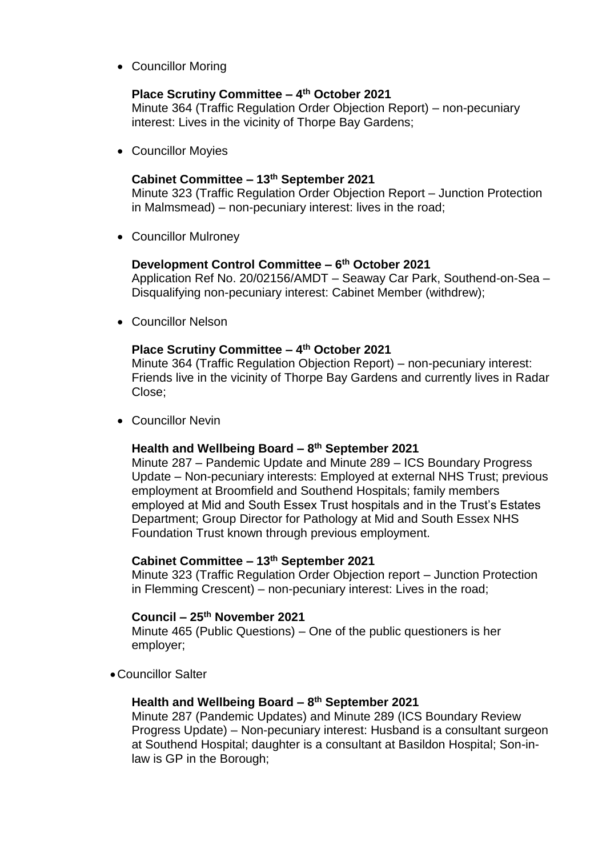• Councillor Moring

# **Place Scrutiny Committee – 4 th October 2021**

Minute 364 (Traffic Regulation Order Objection Report) – non-pecuniary interest: Lives in the vicinity of Thorpe Bay Gardens;

Councillor Moyies

## **Cabinet Committee – 13th September 2021**

Minute 323 (Traffic Regulation Order Objection Report – Junction Protection in Malmsmead) – non-pecuniary interest: lives in the road;

Councillor Mulroney

## **Development Control Committee – 6 th October 2021**

Application Ref No. 20/02156/AMDT – Seaway Car Park, Southend-on-Sea – Disqualifying non-pecuniary interest: Cabinet Member (withdrew);

Councillor Nelson

## **Place Scrutiny Committee – 4 th October 2021**

Minute 364 (Traffic Regulation Objection Report) – non-pecuniary interest: Friends live in the vicinity of Thorpe Bay Gardens and currently lives in Radar Close;

Councillor Nevin

## **Health and Wellbeing Board – 8 th September 2021**

Minute 287 – Pandemic Update and Minute 289 – ICS Boundary Progress Update – Non-pecuniary interests: Employed at external NHS Trust; previous employment at Broomfield and Southend Hospitals; family members employed at Mid and South Essex Trust hospitals and in the Trust's Estates Department; Group Director for Pathology at Mid and South Essex NHS Foundation Trust known through previous employment.

# **Cabinet Committee – 13th September 2021**

Minute 323 (Traffic Regulation Order Objection report – Junction Protection in Flemming Crescent) – non-pecuniary interest: Lives in the road;

# **Council – 25th November 2021**

Minute 465 (Public Questions) – One of the public questioners is her employer;

Councillor Salter

#### **Health and Wellbeing Board – 8 th September 2021**

Minute 287 (Pandemic Updates) and Minute 289 (ICS Boundary Review Progress Update) – Non-pecuniary interest: Husband is a consultant surgeon at Southend Hospital; daughter is a consultant at Basildon Hospital; Son-inlaw is GP in the Borough;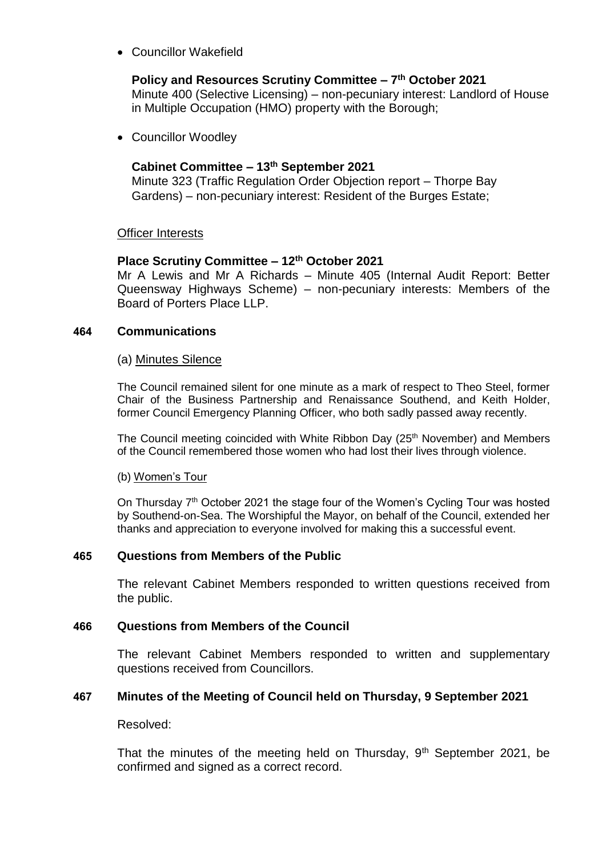Councillor Wakefield

# **Policy and Resources Scrutiny Committee – 7 th October 2021**

Minute 400 (Selective Licensing) – non-pecuniary interest: Landlord of House in Multiple Occupation (HMO) property with the Borough;

Councillor Woodley

# **Cabinet Committee – 13th September 2021**

Minute 323 (Traffic Regulation Order Objection report – Thorpe Bay Gardens) – non-pecuniary interest: Resident of the Burges Estate;

# Officer Interests

# **Place Scrutiny Committee – 12th October 2021**

Mr A Lewis and Mr A Richards – Minute 405 (Internal Audit Report: Better Queensway Highways Scheme) – non-pecuniary interests: Members of the Board of Porters Place LLP.

# **464 Communications**

## (a) Minutes Silence

The Council remained silent for one minute as a mark of respect to Theo Steel, former Chair of the Business Partnership and Renaissance Southend, and Keith Holder, former Council Emergency Planning Officer, who both sadly passed away recently.

The Council meeting coincided with White Ribbon Day (25<sup>th</sup> November) and Members of the Council remembered those women who had lost their lives through violence.

#### (b) Women's Tour

On Thursday  $7<sup>th</sup>$  October 2021 the stage four of the Women's Cycling Tour was hosted by Southend-on-Sea. The Worshipful the Mayor, on behalf of the Council, extended her thanks and appreciation to everyone involved for making this a successful event.

# **465 Questions from Members of the Public**

The relevant Cabinet Members responded to written questions received from the public.

# **466 Questions from Members of the Council**

The relevant Cabinet Members responded to written and supplementary questions received from Councillors.

# **467 Minutes of the Meeting of Council held on Thursday, 9 September 2021**

Resolved:

That the minutes of the meeting held on Thursday,  $9<sup>th</sup>$  September 2021, be confirmed and signed as a correct record.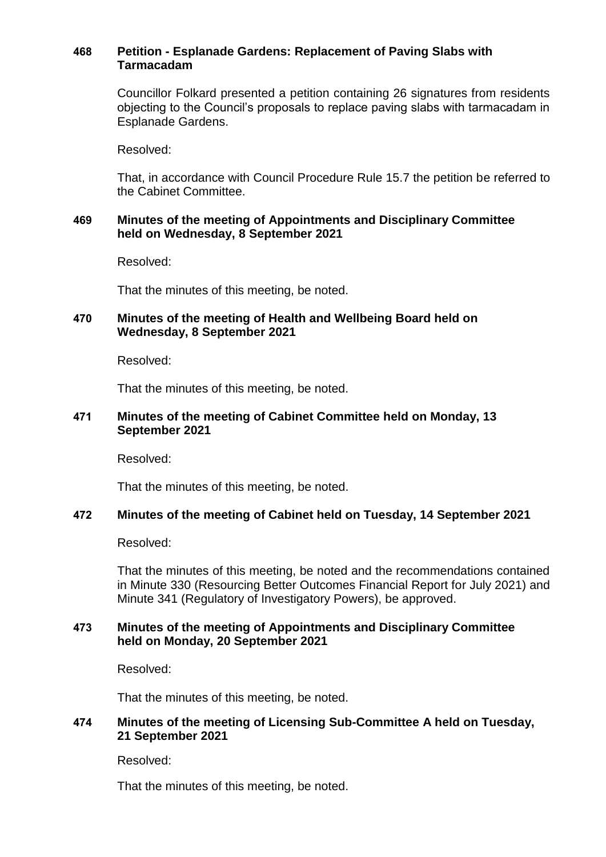## **468 Petition - Esplanade Gardens: Replacement of Paving Slabs with Tarmacadam**

Councillor Folkard presented a petition containing 26 signatures from residents objecting to the Council's proposals to replace paving slabs with tarmacadam in Esplanade Gardens.

Resolved:

That, in accordance with Council Procedure Rule 15.7 the petition be referred to the Cabinet Committee.

## **469 Minutes of the meeting of Appointments and Disciplinary Committee held on Wednesday, 8 September 2021**

Resolved:

That the minutes of this meeting, be noted.

# **470 Minutes of the meeting of Health and Wellbeing Board held on Wednesday, 8 September 2021**

Resolved:

That the minutes of this meeting, be noted.

## **471 Minutes of the meeting of Cabinet Committee held on Monday, 13 September 2021**

Resolved:

That the minutes of this meeting, be noted.

#### **472 Minutes of the meeting of Cabinet held on Tuesday, 14 September 2021**

Resolved:

That the minutes of this meeting, be noted and the recommendations contained in Minute 330 (Resourcing Better Outcomes Financial Report for July 2021) and Minute 341 (Regulatory of Investigatory Powers), be approved.

# **473 Minutes of the meeting of Appointments and Disciplinary Committee held on Monday, 20 September 2021**

Resolved:

That the minutes of this meeting, be noted.

## **474 Minutes of the meeting of Licensing Sub-Committee A held on Tuesday, 21 September 2021**

Resolved:

That the minutes of this meeting, be noted.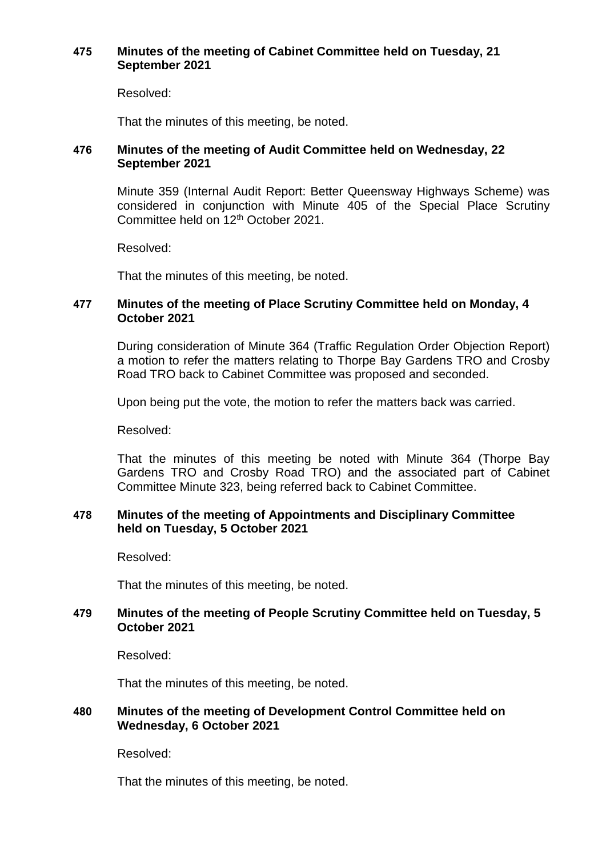## **475 Minutes of the meeting of Cabinet Committee held on Tuesday, 21 September 2021**

Resolved:

That the minutes of this meeting, be noted.

## **476 Minutes of the meeting of Audit Committee held on Wednesday, 22 September 2021**

Minute 359 (Internal Audit Report: Better Queensway Highways Scheme) was considered in conjunction with Minute 405 of the Special Place Scrutiny Committee held on 12th October 2021.

Resolved:

That the minutes of this meeting, be noted.

## **477 Minutes of the meeting of Place Scrutiny Committee held on Monday, 4 October 2021**

During consideration of Minute 364 (Traffic Regulation Order Objection Report) a motion to refer the matters relating to Thorpe Bay Gardens TRO and Crosby Road TRO back to Cabinet Committee was proposed and seconded.

Upon being put the vote, the motion to refer the matters back was carried.

Resolved:

That the minutes of this meeting be noted with Minute 364 (Thorpe Bay Gardens TRO and Crosby Road TRO) and the associated part of Cabinet Committee Minute 323, being referred back to Cabinet Committee.

## **478 Minutes of the meeting of Appointments and Disciplinary Committee held on Tuesday, 5 October 2021**

Resolved:

That the minutes of this meeting, be noted.

# **479 Minutes of the meeting of People Scrutiny Committee held on Tuesday, 5 October 2021**

Resolved:

That the minutes of this meeting, be noted.

# **480 Minutes of the meeting of Development Control Committee held on Wednesday, 6 October 2021**

Resolved:

That the minutes of this meeting, be noted.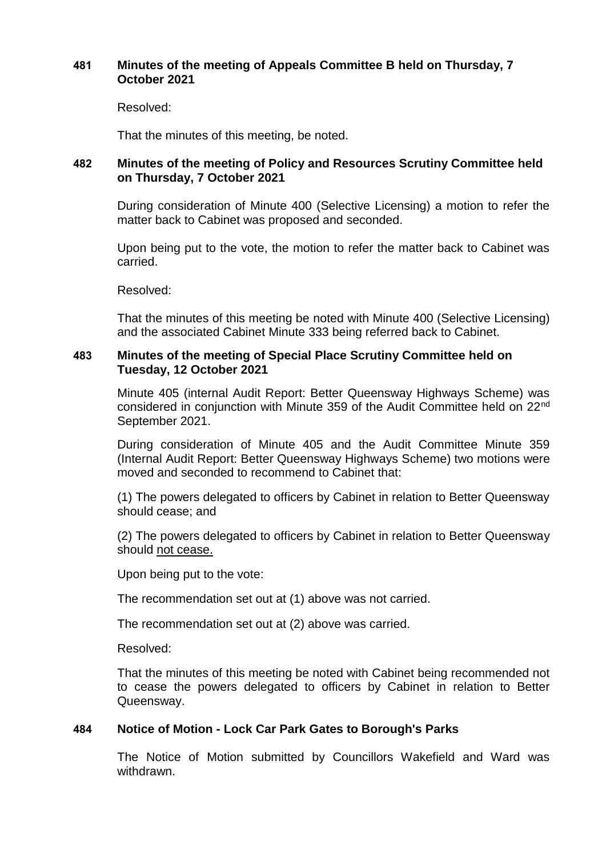## **481 Minutes of the meeting of Appeals Committee B held on Thursday, 7 October 2021**

Resolved:

That the minutes of this meeting, be noted.

# **482 Minutes of the meeting of Policy and Resources Scrutiny Committee held on Thursday, 7 October 2021**

During consideration of Minute 400 (Selective Licensing) a motion to refer the matter back to Cabinet was proposed and seconded.

Upon being put to the vote, the motion to refer the matter back to Cabinet was carried.

Resolved:

That the minutes of this meeting be noted with Minute 400 (Selective Licensing) and the associated Cabinet Minute 333 being referred back to Cabinet.

# **483 Minutes of the meeting of Special Place Scrutiny Committee held on Tuesday, 12 October 2021**

Minute 405 (internal Audit Report: Better Queensway Highways Scheme) was considered in conjunction with Minute 359 of the Audit Committee held on 22nd September 2021.

During consideration of Minute 405 and the Audit Committee Minute 359 (Internal Audit Report: Better Queensway Highways Scheme) two motions were moved and seconded to recommend to Cabinet that:

(1) The powers delegated to officers by Cabinet in relation to Better Queensway should cease; and

(2) The powers delegated to officers by Cabinet in relation to Better Queensway should not cease.

Upon being put to the vote:

The recommendation set out at (1) above was not carried.

The recommendation set out at (2) above was carried.

Resolved:

That the minutes of this meeting be noted with Cabinet being recommended not to cease the powers delegated to officers by Cabinet in relation to Better Queensway.

# **484 Notice of Motion - Lock Car Park Gates to Borough's Parks**

The Notice of Motion submitted by Councillors Wakefield and Ward was withdrawn.